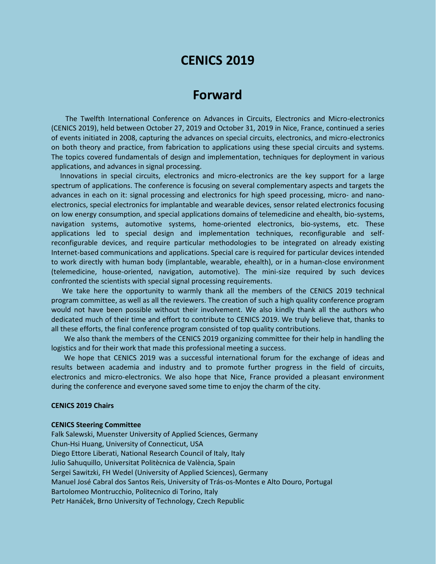## **CENICS 2019**

# **Forward**

The Twelfth International Conference on Advances in Circuits, Electronics and Micro-electronics (CENICS 2019), held between October 27, 2019 and October 31, 2019 in Nice, France, continued a series of events initiated in 2008, capturing the advances on special circuits, electronics, and micro-electronics on both theory and practice, from fabrication to applications using these special circuits and systems. The topics covered fundamentals of design and implementation, techniques for deployment in various applications, and advances in signal processing.

Innovations in special circuits, electronics and micro-electronics are the key support for a large spectrum of applications. The conference is focusing on several complementary aspects and targets the advances in each on it: signal processing and electronics for high speed processing, micro- and nanoelectronics, special electronics for implantable and wearable devices, sensor related electronics focusing on low energy consumption, and special applications domains of telemedicine and ehealth, bio-systems, navigation systems, automotive systems, home-oriented electronics, bio-systems, etc. These applications led to special design and implementation techniques, reconfigurable and selfreconfigurable devices, and require particular methodologies to be integrated on already existing Internet-based communications and applications. Special care is required for particular devices intended to work directly with human body (implantable, wearable, ehealth), or in a human-close environment (telemedicine, house-oriented, navigation, automotive). The mini-size required by such devices confronted the scientists with special signal processing requirements.

We take here the opportunity to warmly thank all the members of the CENICS 2019 technical program committee, as well as all the reviewers. The creation of such a high quality conference program would not have been possible without their involvement. We also kindly thank all the authors who dedicated much of their time and effort to contribute to CENICS 2019. We truly believe that, thanks to all these efforts, the final conference program consisted of top quality contributions.

We also thank the members of the CENICS 2019 organizing committee for their help in handling the logistics and for their work that made this professional meeting a success.

We hope that CENICS 2019 was a successful international forum for the exchange of ideas and results between academia and industry and to promote further progress in the field of circuits, electronics and micro-electronics. We also hope that Nice, France provided a pleasant environment during the conference and everyone saved some time to enjoy the charm of the city.

#### **CENICS 2019 Chairs**

#### **CENICS Steering Committee**

Falk Salewski, Muenster University of Applied Sciences, Germany Chun-Hsi Huang, University of Connecticut, USA Diego Ettore Liberati, National Research Council of Italy, Italy Julio Sahuquillo, Universitat Politècnica de València, Spain Sergei Sawitzki, FH Wedel (University of Applied Sciences), Germany Manuel José Cabral dos Santos Reis, University of Trás-os-Montes e Alto Douro, Portugal Bartolomeo Montrucchio, Politecnico di Torino, Italy Petr Hanáček, Brno University of Technology, Czech Republic